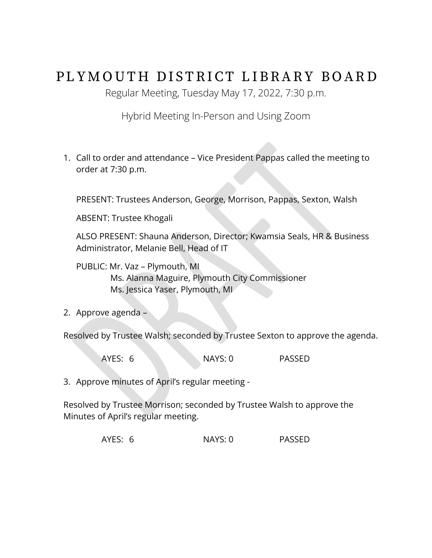## PLYMOUTH DISTRICT LIBRARY BOARD

Regular Meeting, Tuesday May 17, 2022, 7:30 p.m.

Hybrid Meeting In-Person and Using Zoom

1. Call to order and attendance – Vice President Pappas called the meeting to order at 7:30 p.m.

PRESENT: Trustees Anderson, George, Morrison, Pappas, Sexton, Walsh

ABSENT: Trustee Khogali

ALSO PRESENT: Shauna Anderson, Director; Kwamsia Seals, HR & Business Administrator, Melanie Bell, Head of IT

PUBLIC: Mr. Vaz – Plymouth, MI Ms. Alanna Maguire, Plymouth City Commissioner Ms. Jessica Yaser, Plymouth, MI

2. Approve agenda –

Resolved by Trustee Walsh; seconded by Trustee Sexton to approve the agenda.

AYES: 6 NAYS: 0 PASSED

3. Approve minutes of April's regular meeting -

Resolved by Trustee Morrison; seconded by Trustee Walsh to approve the Minutes of April's regular meeting.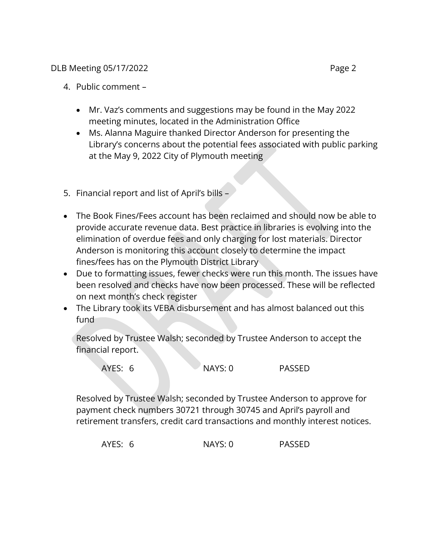## DLB Meeting 05/17/2022 **Page 2**

- Mr. Vaz's comments and suggestions may be found in the May 2022 meeting minutes, located in the Administration Office
- Ms. Alanna Maguire thanked Director Anderson for presenting the Library's concerns about the potential fees associated with public parking at the May 9, 2022 City of Plymouth meeting
- 5. Financial report and list of April's bills –
- The Book Fines/Fees account has been reclaimed and should now be able to provide accurate revenue data. Best practice in libraries is evolving into the elimination of overdue fees and only charging for lost materials. Director Anderson is monitoring this account closely to determine the impact fines/fees has on the Plymouth District Library
- Due to formatting issues, fewer checks were run this month. The issues have been resolved and checks have now been processed. These will be reflected on next month's check register
- The Library took its VEBA disbursement and has almost balanced out this fund

Resolved by Trustee Walsh; seconded by Trustee Anderson to accept the financial report.

| AYES: 6 | $\sqrt{NAYS}$ : 0 | PASSED |
|---------|-------------------|--------|
|         |                   |        |

Resolved by Trustee Walsh; seconded by Trustee Anderson to approve for payment check numbers 30721 through 30745 and April's payroll and retirement transfers, credit card transactions and monthly interest notices.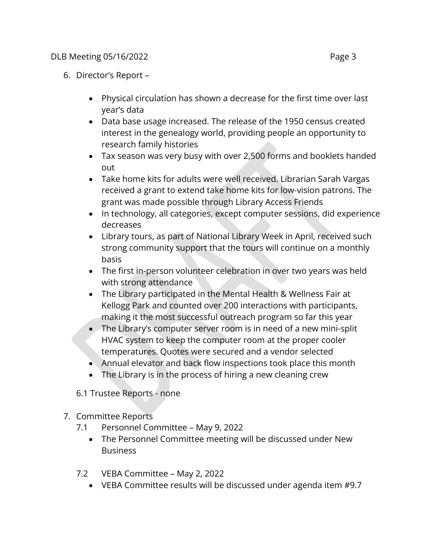- 6. Director's Report
	- Physical circulation has shown a decrease for the first time over last year's data
	- Data base usage increased. The release of the 1950 census created interest in the genealogy world, providing people an opportunity to research family histories
	- Tax season was very busy with over 2,500 forms and booklets handed out
	- Take home kits for adults were well received. Librarian Sarah Vargas received a grant to extend take home kits for low-vision patrons. The grant was made possible through Library Access Friends
	- In technology, all categories, except computer sessions, did experience decreases
	- Library tours, as part of National Library Week in April, received such strong community support that the tours will continue on a monthly basis
	- The first in-person volunteer celebration in over two years was held with strong attendance
	- The Library participated in the Mental Health & Wellness Fair at Kellogg Park and counted over 200 interactions with participants, making it the most successful outreach program so far this year
	- The Library's computer server room is in need of a new mini-split HVAC system to keep the computer room at the proper cooler temperatures. Quotes were secured and a vendor selected
	- Annual elevator and back flow inspections took place this month
	- The Library is in the process of hiring a new cleaning crew

6.1 Trustee Reports - none

- 7. Committee Reports
	- 7.1 Personnel Committee May 9, 2022
		- The Personnel Committee meeting will be discussed under New **Business**
	- 7.2 VEBA Committee May 2, 2022
		- VEBA Committee results will be discussed under agenda item #9.7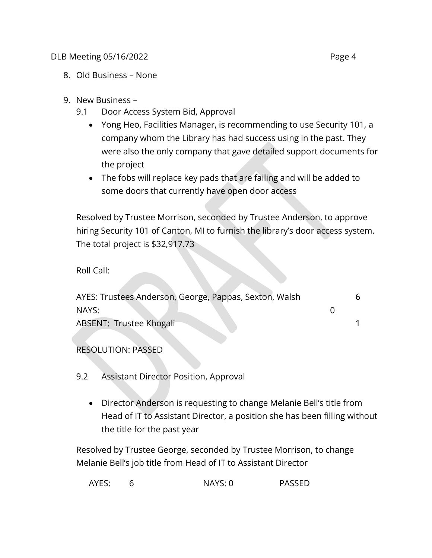## DLB Meeting 05/16/2022 **Page 4**

- 8. Old Business None
- 9. New Business
	- 9.1 Door Access System Bid, Approval
		- Yong Heo, Facilities Manager, is recommending to use Security 101, a company whom the Library has had success using in the past. They were also the only company that gave detailed support documents for the project
		- The fobs will replace key pads that are failing and will be added to some doors that currently have open door access

Resolved by Trustee Morrison, seconded by Trustee Anderson, to approve hiring Security 101 of Canton, MI to furnish the library's door access system. The total project is \$32,917.73

Roll Call:

| AYES: Trustees Anderson, George, Pappas, Sexton, Walsh |  |
|--------------------------------------------------------|--|
| NAYS:                                                  |  |
| <b>ABSENT: Trustee Khogali</b>                         |  |

RESOLUTION: PASSED

- 9.2 Assistant Director Position, Approval
	- Director Anderson is requesting to change Melanie Bell's title from Head of IT to Assistant Director, a position she has been filling without the title for the past year

Resolved by Trustee George, seconded by Trustee Morrison, to change Melanie Bell's job title from Head of IT to Assistant Director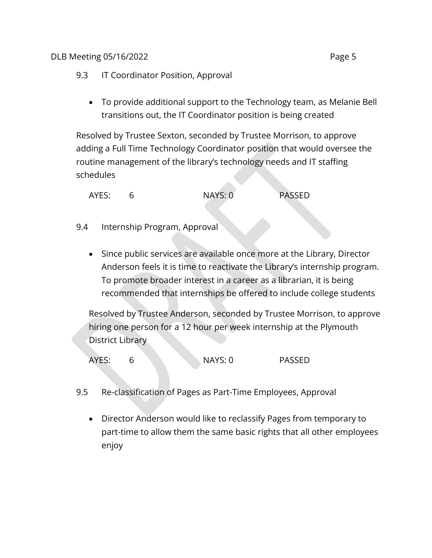- 9.3 IT Coordinator Position, Approval
	- To provide additional support to the Technology team, as Melanie Bell transitions out, the IT Coordinator position is being created

Resolved by Trustee Sexton, seconded by Trustee Morrison, to approve adding a Full Time Technology Coordinator position that would oversee the routine management of the library's technology needs and IT staffing schedules

| AYES: | NAYS: 0 | <b>PASSED</b> |
|-------|---------|---------------|
|       |         |               |

## 9.4 Internship Program, Approval

• Since public services are available once more at the Library, Director Anderson feels it is time to reactivate the Library's internship program. To promote broader interest in a career as a librarian, it is being recommended that internships be offered to include college students

Resolved by Trustee Anderson, seconded by Trustee Morrison, to approve hiring one person for a 12 hour per week internship at the Plymouth District Library

- 9.5 Re-classification of Pages as Part-Time Employees, Approval
	- Director Anderson would like to reclassify Pages from temporary to part-time to allow them the same basic rights that all other employees enjoy